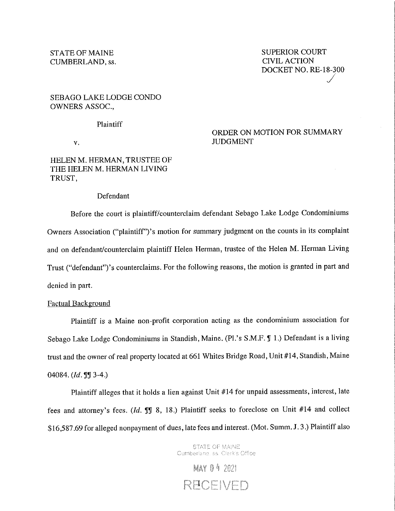## SEBAGO LAKE LODGE CONDO OWNERS ASSOC.,

#### **Plaintiff**

V.

# ORDER ON MOTION FOR SUMMARY JUDGMENT

# HELEN M. HERMAN, TRUSTEE OF THE HELEN M. HERMAN LIVING TRUST,

### Defendant

Before the court is plaintiff/counterclaim defendant Sebago Lake Lodge Condominiums Owners Association ("plaintiff'')' s motion for summary judgment on the counts in its complaint and on defendant/counterclaim plaintiff Helen Herman, trustee of the Helen M. Herman Living Trust ("defendant")'s counterclaims. For the following reasons, the motion is granted in part and denied in part.

## Factual Background

Plaintiff is a Maine non-profit corporation acting as the condominium association for Sebago Lake Lodge Condominiums in Standish, Maine. (Pl.'s S.M.F. ¶ 1.) Defendant is a living trust and the owner of real property located at 661 Whites Bridge Road, Unit #14, Standish, Maine 04084. *(Id.* **1**] 3-4.)

Plaintiff alleges that it holds a lien against Unit #14 for unpaid assessments, interest, late fees and attorney's fees. *(Id.*  $\mathbb{J}$  8, 18.) Plaintiff seeks to foreclose on Unit #14 and collect \$16,587.69 for alleged nonpayment of dues, late fees and interest. (Mot. Summ. J. 3 .) Plaintiff also

> STATE OF MAINE Cumberland, ss. Clerk's Office

**MAY 04 2021** RECEIVED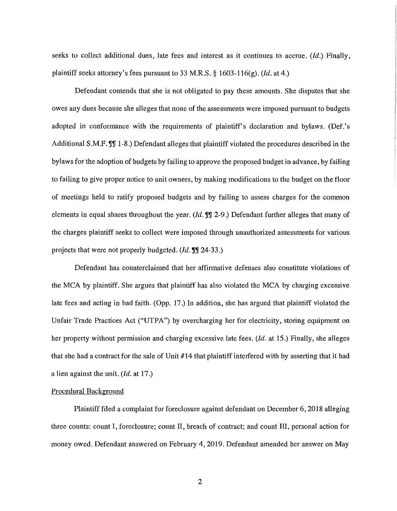seeks to collect additional dues, late fees and interest as it continues to accrue. *(Id.)* Finally, plaintiff seeks attorney's fees pursuant to 33 M.R.S. § 1603-116(g). *(Id.* at 4.)

Defendant contends that she is not obligated to pay these amounts. She disputes that she owes any dues because she alleges that none of the assessments were imposed pursuant to budgets adopted in conformance with the requirements of plaintiff's declaration and bylaws. (Def.'s Additional S.M.F. **J**. 1-8.) Defendant alleges that plaintiff violated the procedures described in the bylaws for the adoption of budgets by failing to approve the proposed budget in advance, by failing to failing to give proper notice to unit owners, by making modifications to the budget on the floor of meetings held to ratify proposed budgets and by failing to assess charges for the common elements in equal shares throughout the year. (Id. **JJ** 2-9.) Defendant further alleges that many of the charges plaintiff seeks to collect were imposed through unauthorized assessments for various projects that were not properly budgeted. *(Id.* **fl**) **24-33.**)

Defendant has counterclaimed that her affirmative defenses also constitute violations of the MCA by plaintiff. She argues that plaintiff has also violated the MCA by charging excessive late fees and acting in bad faith. (Opp. 17.) In addition, she has argued that plaintiff violated the Unfair Trade Practices Act ("UTPA") by overcharging her for electricity, storing equipment on her property without permission and charging excessive late fees. *(Id.* at 15.) Finally, she alleges that she had a contract for the sale of Unit #14 that plaintiff interfered with by asserting that it had a lien against the unit. *(Id.* at 17 .)

### Procedural Background

Plaintiff filed a complaint for foreclosure against defendant on December 6, 2018 alleging three counts: count I, foreclosure; count II, breach of contract; and count III, personal action for money owed. Defendant answered on February 4, 2019. Defendant amended her answer on May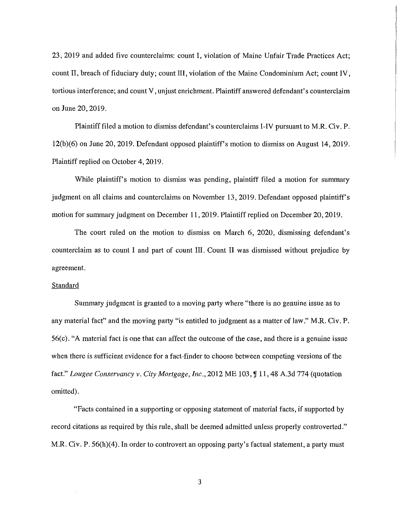23, 2019 and added five counterclaims: count I, violation of Maine Unfair Trade Practices Act; count II, breach of fiduciary duty; count III, violation of the Maine Condominium Act; count IV, tortious interference; and count V, unjust enrichment. Plaintiff answered defendant's counterclaim on June 20, 2019.

Plaintiff filed a motion to dismiss defendant's counterclaims I-IV pursuant to **M.R.** Civ. P. 12(b)(6) on June 20, 2019. Defendant opposed plaintiff's motion to dismiss on August 14, 2019. Plaintiff replied on October 4, 2019.

While plaintiff's motion to dismiss was pending, plaintiff filed a motion for summary judgment on all claims and counterclaims on November 13, 2019. Defendant opposed plaintiff's motion for summary judgment on December 11, 2019. Plaintiff replied on December 20, 2019.

The court ruled on the motion to dismiss on March 6, 2020, dismissing defendant's counterclaim as to count I and part of count III. Count II was dismissed without prejudice by agreement.

### Standard

Summary judgment is granted to a moving party where "there is no genuine issue as to any material fact" and the moving party "is entitled to judgment as a matter of law." M.R. Civ. P. 56(c). "A material fact is one that can affect the outcome of the case, and there is a genuine issue when there is sufficient evidence for a fact-finder to choose between competing versions of the fact." *Lougee Conservancy v. City Mortgage, Inc.,* 2012 ME 103, ¶ 11, 48 A.3d 774 (quotation omitted).

"Facts contained in a supporting or opposing statement of material facts, if supported by record citations as required by this rule, shall be deemed admitted unless properly controverted." M.R. Civ. P. 56(h)(4). In order to controvert an opposing party's factual statement, a party must

3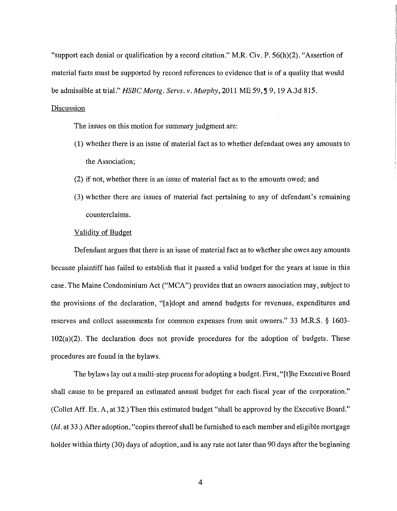"support each denial or qualification by a record citation." M.R. Civ. P. 56(h)(2). "Assertion of material facts must be supported by record references to evidence that is of a quality that would be admissible at trial." *HSBC Mortg. Servs. v. Murphy*, 2011 ME 59, ¶ 9, 19 A.3d 815. **Discussion** 

The issues on this motion for summary judgment are:

- (1) whether there is an issue of material fact as to whether defendant owes any amounts to the Association;
- (2) if not, whether there is an issue of material fact as to the amounts owed; and
- (3) whether there are issues of material fact pertaining to any of defendant's remaining counterclaims.

#### Validity of Budget

Defendant argues that there is an issue of material fact as to whether she owes any amounts because plaintiff has failed to establish that it passed a valid budget for the years at issue in this case. The Maine Condominium Act ("MCA") provides that an owners association may, subject to the provisions of the declaration, "[a]dopt and amend budgets for revenues, expenditures and reserves and collect assessments for common expenses from unit owners." 33 M.R.S. § 1603- $102(a)(2)$ . The declaration does not provide procedures for the adoption of budgets. These procedures are found in the bylaws.

The bylaws lay out a multi-step process for adopting a budget. First, "[t]he Executive Board shall cause to be prepared an estimated annual budget for each fiscal year of the corporation." (Collet Aff. Ex. A, at 32.) Then this estimated budget "shall be approved by the Executive Board." *(Id.* at 33 .) After adoption, "copies thereof shall be furnished to each member and eligible mortgage holder within thirty (30) days of adoption, and in any rate not later than 90 days after the beginning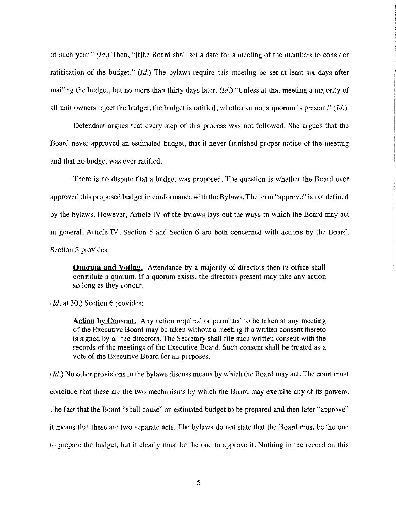of such year." *(Id.)* Then, "[t]he Board shall set a date for a meeting of the members to consider ratification of the budget." *(Id.)* The bylaws require this meeting be set at least six days after mailing the budget, but no more than thirty days later. *(Id.)* "Unless at that meeting a majority of all unit owners reject the budget, the budget is ratified, whether or not a quorum is present." *(Id.)* 

Defendant argues that every step of this process was not followed. She argues that the Board never approved an estimated budget, that it never furnished proper notice of the meeting and that no budget was ever ratified.

There is no dispute that a budget was proposed. The question is whether the Board ever approved this proposed budget in conformance with the Bylaws. The term "approve" is not defined by the bylaws. However, Article IV of the bylaws lays out the ways in which the Board may act in general. Article IV, Section 5 and Section 6 are both concerned with actions by the Board. Section 5 provides:

**Quorum and Voting.** Attendance by a majority of directors then in office shall constitute a quorum. If a quorum exists, the directors present may take any action so long as they concur.

*(Id.* at 30.) Section 6 provides:

**Action by Consent.** Any action required or permitted to be taken at any meeting of the Executive Board may be taken without a meeting if a written consent thereto is signed by all the directors. The Secretary shall file such written consent with the records of the meetings of the Executive Board. Such consent shall be treated as a vote of the Executive Board for all purposes.

*(Id.)* No other provisions in the bylaws discuss means by which the Board may act. The court must conclude that these are the two mechanisms by which the Board may exercise any of its powers. The fact that the Board "shall cause" an estimated budget to be prepared and then later "approve" it means that these are two separate acts. The bylaws do not state that the Board must be the one to prepare the budget, but it clearly must be the one to approve it. Nothing in the record on this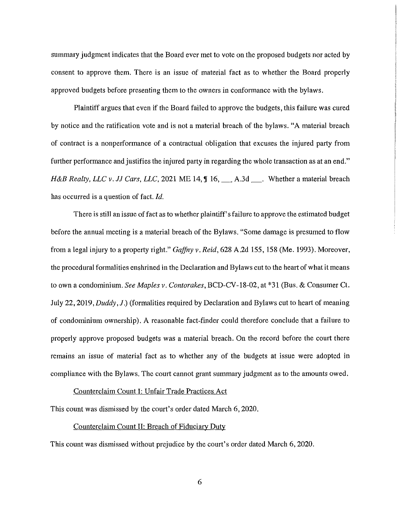summary judgment indicates that the Board ever met to vote on the proposed budgets nor acted by consent to approve them. There is an issue of material fact as to whether the Board properly approved budgets before presenting them to the owners in conformance with the bylaws.

Plaintiff argues that even if the Board failed to approve the budgets, this failure was cured by notice and the ratification vote and is not a material breach of the bylaws. "A material breach of contract is a nonperformance of a contractual obligation that excuses the injured party from further performance and justifies the injured party in regarding the whole transaction as at an end." *H&B Realty, LLC v. JJ Cars, LLC,* 2021 ME 14, **J** 16, \_\_\_ A.3d \_\_\_. Whether a material breach has occurred is a question of fact. *Id.* 

There is still an issue of fact as to whether plaintiff's failure to approve the estimated budget before the annual meeting is a material breach of the Bylaws. "Some damage is presumed to flow from a legal injury to a property right." *Gaffey v. Reid,* 628 A.2d 155, 158 (Me. 1993). Moreover, the procedural formalities enshrined in the Declaration and Bylaws cut to the heart of what it means to own a condominium. *See Maples v. Contorakes,* BCD-CV-18-02, at \*31 (Bus. & Consumer Ct. July 22, 2019, *Duddy,* J.) (formalities required by Declaration and Bylaws cut to heart of meaning of condominium ownership). A reasonable fact-finder could therefore conclude that a failure to properly approve proposed budgets was a material breach. On the record before the court there remains an issue of material fact as to whether any of the budgets at issue were adopted in compliance with the Bylaws. The court cannot grant summary judgment as to the amounts owed.

## Counterclaim Count I: Unfair Trade Practices Act

This count was dismissed by the court's order dated March 6, 2020.

## Counterclaim Count II: Breach of Fiduciary Duty

This count was dismissed without prejudice by the court's order dated March 6, 2020.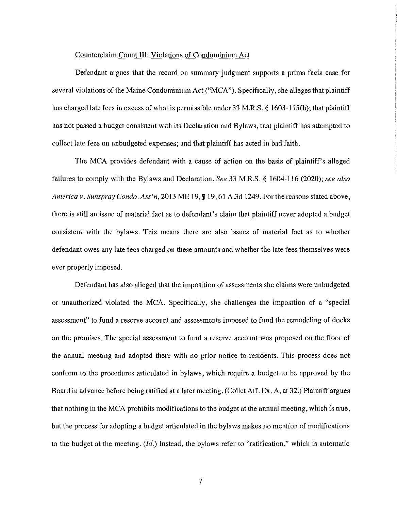#### Counterclaim Count III: Violations of Condominium Act

Defendant argues that the record on summary judgment supports a prima facia case for several violations of the Maine Condominium Act ("MCA"). Specifically, she alleges that plaintiff has charged late fees in excess of what is permissible under 33 M.R.S. § 1603-115(b); that plaintiff has not passed a budget consistent with its Declaration and Bylaws, that plaintiff has attempted to collect late fees on unbudgeted expenses; and that plaintiff has acted in bad faith.

The MCA provides defendant with a cause of action on the basis of plaintiff's alleged failures to comply with the Bylaws and Declaration. *See* 33 M.R.S. § 1604-116 (2020); *see also America v. Sunspray Condo. Ass'n,* 2013 ME 19,  $\int$  19, 61 A.3d 1249. For the reasons stated above, there is still an issue of material fact as to defendant's claim that plaintiff never adopted a budget consistent with the bylaws. This means there are also issues of material fact as to whether defendant owes any late fees charged on these amounts and whether the late fees themselves were ever properly imposed.

Defendant has also alleged that the imposition of assessments she claims were unbudgeted or unauthorized violated the MCA. Specifically, she challenges the imposition of a "special assessment" to fund a reserve account and assessments imposed to fund the remodeling of docks on the premises. The special assessment to fund a reserve account was proposed on the floor of the annual meeting and adopted there with no prior notice to residents. This process does not conform to the procedures articulated in bylaws, which require a budget to be approved by the Board in advance before being ratified at a later meeting. (Collet Aff. Ex. A, at 32.) Plaintiff argues that nothing in the MCA prohibits modifications to the budget at the annual meeting, which is true, but the process for adopting a budget articulated in the bylaws makes no mention of modifications to the budget at the meeting. *(Id.)* Instead, the bylaws refer to "ratification," which is automatic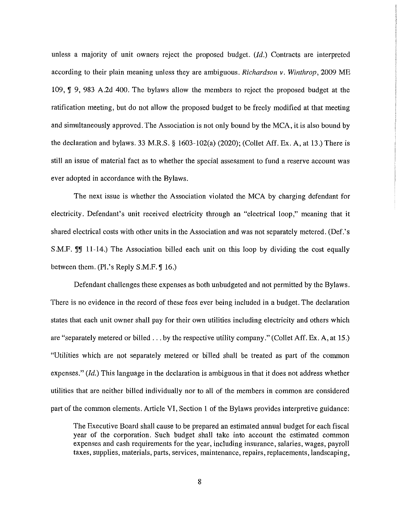unless a majority of unit owners reject the proposed budget. *(Id.)* Contracts are interpreted according to their plain meaning unless they are ambiguous. *Richardson v. Winthrop,* 2009 ME 109, **J** 9, 983 A.2d 400. The bylaws allow the members to reject the proposed budget at the ratification meeting, but do not allow the proposed budget to be freely modified at that meeting and simultaneously approved. The Association is not only bound by the MCA, it is also bound by the declaration and bylaws. 33 M.R.S. § 1603-102(a) (2020); (Collet Aff. Ex. A, at 13.) There is still an issue of material fact as to whether the special assessment to fund a reserve account was ever adopted in accordance with the Bylaws.

The next issue is whether the Association violated the MCA by charging defendant for electricity. Defendant's unit received electricity through an "electrical loop," meaning that it shared electrical costs with other units in the Association and was not separately metered. (Def.'s S.M.F. **I**I 11-14.) The Association billed each unit on this loop by dividing the cost equally between them. (Pl.'s Reply  $S.M.F. \mathcal{J}$  16.)

Defendant challenges these expenses as both unbudgeted and not permitted by the Bylaws. There is no evidence in the record of these fees ever being included in a budget. The declaration states that each unit owner shall pay for their own utilities including electricity and others which are "separately metered or billed ... by the respective utility company." (Collet Aff. Ex. A, at 15.) "Utilities which are not separately metered or billed shall be treated as part of the common expenses." *(Id.)* This language in the declaration is ambiguous in that it does not address whether utilities that are neither billed individually nor to all of the members in common are considered part of the common elements. Article VI, Section 1 of the Bylaws provides interpretive guidance:

The Executive Board shall cause to be prepared an estimated annual budget for each fiscal year of the corporation. Such budget shall take into account the estimated common expenses and cash requirements for the year, including insurance, salaries, wages, payroll taxes, supplies, materials, parts, services, maintenance, repairs, replacements, landscaping,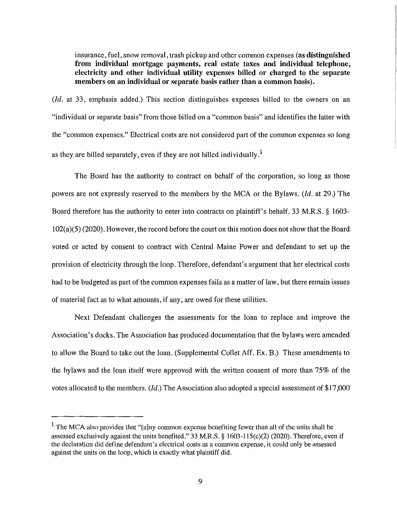insurance, fuel, snow removal, trash pickup and other common expenses **(as distinguished from individual mortgage payments, real estate taxes and individual telephone, electricity and other individual utility expenses billed or charged to the separate members on an individual or separate basis rather than a common basis).** 

*(Id.* at 33, emphasis added.) This section distinguishes expenses billed to the owners on an "individual or separate basis" from those billed on a "common basis" and identifies the latter with the "common expenses." Electrical costs are not considered part of the common expenses so long as they are billed separately, even if they are not billed individually.<sup>1</sup>

The Board has the authority to contract on behalf of the corporation, so long as those powers are not expressly reserved to the members by the MCA or the Bylaws. *(Id.* at 29.) The Board therefore has the authority to enter into contracts on plaintiff's behalf. 33 M.R.S. § 1603– 102(a)(5) (2020). However, the record before the court on this motion does not show that the Board voted or acted by consent to contract with Central Maine Power and defendant to set up the provision of electricity through the loop. Therefore, defendant's argument that her electrical costs had to be budgeted as part of the common expenses fails as a matter of law, but there remain issues of material fact as to what amounts, if any, are owed for these utilities.

Next Defendant challenges the assessments for the loan to replace and improve the Association's docks. The Association has produced documentation that the bylaws were amended to allow the Board to take out the loan. (Supplemental Collet Aff. Ex. B.) These amendments to the bylaws and the loan itself were approved with the written consent of more than 75% of the votes allocated to the members. *(Id.)* The Association also adopted a special assessment of \$17,000

 $1$  The MCA also provides that "[a]ny common expense benefiting fewer than all of the units shall be assessed exclusively against the units benefited." 33 M.R.S. § 1603-l 15(c)(2) (2020). Therefore, even if the declaration did define defendant's electrical costs as a common expense, it could only be assessed against the units on the loop, which is exactly what plaintiff did.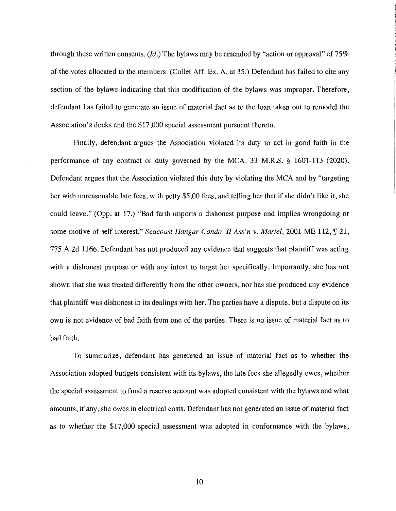through these written consents. *(Id.)* The bylaws may be amended by "action or approval" of 75% of the votes allocated to the members. (Collet Aff. Ex. A, at 35.) Defendant has failed to cite any section of the bylaws indicating that this modification of the bylaws was improper. Therefore, defendant has failed to generate an issue of material fact as to the loan taken out to remodel the Association's docks and the \$17,000 special assessment pursuant thereto.

Finally, defendant argues the Association violated its duty to act in good faith in the performance of any contract or duty governed by the MCA. 33 M.R.S. § 1601-113 (2020). Defendant argues that the Association violated this duty by violating the MCA and by "targeting her with unreasonable late fees, with petty \$5.00 fees, and telling her that if she didn't like it, she could leave." (Opp. at 17.) "Bad faith imports a dishonest purpose and implies wrongdoing or some motive of self-interest." *Seacoast Hangar Condo. II Ass'n v. Martel*, 2001 ME 112, **J** 21, 775 A.2d 1166. Defendant has not produced any evidence that suggests that plaintiff was acting with a dishonest purpose or with any intent to target her specifically. Importantly, she has not shown that she was treated differently from the other owners, nor has she produced any evidence that plaintiff was dishonest in its dealings with her. The parties have a dispute, but a dispute on its own is not evidence of bad faith from one of the parties. There is no issue of material fact as to bad faith.

To summarize, defendant has generated an issue of material fact as to whether the Association adopted budgets consistent with its bylaws, the late fees she allegedly owes, whether the special assessment to fund a reserve account was adopted consistent with the bylaws and what amounts, if any, she owes in electrical costs. Defendant has not generated an issue of material fact as to whether the \$17,000 special assessment was adopted in conformance with the bylaws,

10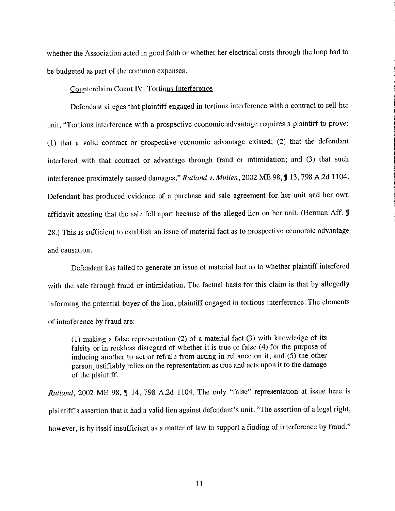whether the Association acted in good faith or whether her electrical costs through the loop had to be budgeted as part of the common expenses.

# Counterclaim Count IV: Tortious Interference

Defendant alleges that plaintiff engaged in tortious interference with a contract to sell her unit. "Tortious interference with a prospective economic advantage requires a plaintiff to prove: (1) that a valid contract or prospective economic advantage existed; (2) that the defendant interfered with that contract or advantage through fraud or intimidation; and (3) that such interference proximately caused damages." Rutland v. Mullen, 2002 ME 98, ¶ 13, 798 A.2d 1104. Defendant has produced evidence of a purchase and sale agreement for her unit and her own affidavit attesting that the sale fell apart because of the alleged lien on her unit. (Herman Aff. J 28.) This is sufficient to establish an issue of material fact as to prospective economic advantage and causation.

Defendant has failed to generate an issue of material fact as to whether plaintiff interfered with the sale through fraud or intimidation. The factual basis for this claim is that by allegedly informing the potential buyer of the lien, plaintiff engaged in tortious interference. The elements of interference by fraud are:

(1) making a false representation (2) of a material fact (3) with knowledge of its falsity or in reckless disregard of whether it is true or false (4) for the purpose of inducing another to act or refrain from acting in reliance on it, and (5) the other person justifiably relies on the representation as true and acts upon it to the damage of the plaintiff.

*Rutland*, 2002 ME 98, *J* 14, 798 A.2d 1104. The only "false" representation at issue here is plaintiff's assertion that it had a valid lien against defendant's unit. "The assertion of a legal right, however, is by itself insufficient as a matter of law to support a finding of interference by fraud."

11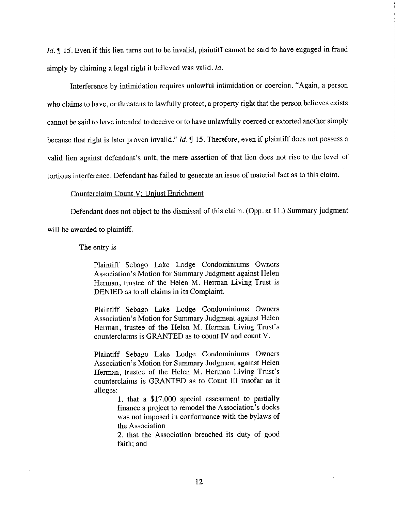*Id.* If 15. Even if this lien turns out to be invalid, plaintiff cannot be said to have engaged in fraud simply by claiming a legal right it believed was valid. *Id.* 

Interference by intimidation requires unlawful intimidation or coercion. "Again, a person who claims to have, or threatens to lawfully protect, a property right that the person believes exists cannot be said to have intended to deceive or to have unlawfully coerced or extorted another simply because that right is later proven invalid." *Id.* **15.** Therefore, even if plaintiff does not possess a valid lien against defendant's unit, the mere assertion of that lien does not rise to the level of tortious interference. Defendant has failed to generate an issue of material fact as to this claim.

## Counterclaim Count V: Unjust Enrichment

Defendant does not object to the dismissal of this claim. (Opp. at 11.) Summary judgment

will be awarded to plaintiff.

The entry is

Plaintiff Sebago Lake Lodge Condominiums Owners Association's Motion for Summary Judgment against Helen Herman, trustee of the Helen M. Herman Living Trust is DENIED as to all claims in its Complaint.

Plaintiff Sebago Lake Lodge Condominiums Owners Association's Motion for Summary Judgment against Helen Herman, trustee of the Helen M. Herman Living Trust's counterclaims is GRANTED as to count IV and count V.

Plaintiff Sebago Lake Lodge Condominiums Owners Association's Motion for Summary Judgment against Helen Herman, trustee of the Helen M. Herman Living Trust's counterclaims is GRANTED as to Count III insofar as it alleges:

> 1. that a \$17,000 special assessment to partially finance a project to remodel the Association's docks was not imposed in conformance with the bylaws of the Association

> 2. that the Association breached its duty of good faith; and